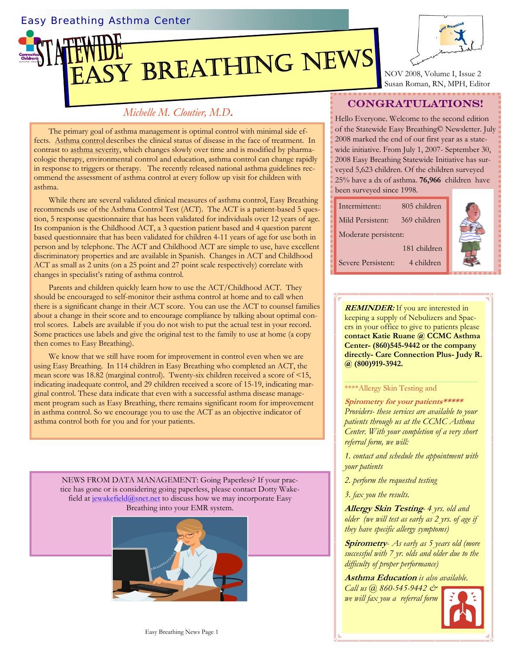## Easy Breathing Asthma Center





NOV 2008, Volume I, Issue 2 Susan Roman, RN, MPH, Editor

# *Michelle M. Cloutier, M.D***.**

The primary goal of asthma management is optimal control with minimal side effects. Asthma control describes the clinical status of disease in the face of treatment. In contrast to asthma severity, which changes slowly over time and is modified by pharmacologic therapy, environmental control and education, asthma control can change rapidly in response to triggers or therapy. The recently released national asthma guidelines recommend the assessment of asthma control at every follow up visit for children with asthma.

While there are several validated clinical measures of asthma control, Easy Breathing recommends use of the Asthma Control Test (ACT). The ACT is a patient-based 5 question, 5 response questionnaire that has been validated for individuals over 12 years of age. Its companion is the Childhood ACT, a 3 question patient based and 4 question parent based questionnaire that has been validated for children 4-11 years of age for use both in person and by telephone. The ACT and Childhood ACT are simple to use, have excellent discriminatory properties and are available in Spanish. Changes in ACT and Childhood ACT as small as 2 units (on a 25 point and 27 point scale respectively) correlate with changes in specialist's rating of asthma control.

Parents and children quickly learn how to use the ACT/Childhood ACT. They should be encouraged to self-monitor their asthma control at home and to call when there is a significant change in their ACT score. You can use the ACT to counsel families about a change in their score and to encourage compliance by talking about optimal control scores. Labels are available if you do not wish to put the actual test in your record. Some practices use labels and give the original test to the family to use at home (a copy then comes to Easy Breathing).

We know that we still have room for improvement in control even when we are using Easy Breathing. In 114 children in Easy Breathing who completed an ACT, the mean score was 18.82 (marginal control). Twenty-six children received a score of <15, indicating inadequate control, and 29 children received a score of 15-19, indicating marginal control. These data indicate that even with a successful asthma disease management program such as Easy Breathing, there remains significant room for improvement in asthma control. So we encourage you to use the ACT as an objective indicator of asthma control both for you and for your patients.

NEWS FROM DATA MANAGEMENT: Going Paperless? If your practice has gone or is considering going paperless, please contact Dotty Wakefield a[t jewakefield@snet.n](mailto:jewakefield@snet.net)et to discuss how we may incorporate Easy Breathing into your EMR system.



# CONGRATULATIONS!

Hello Everyone. Welcome to the second edition of the Statewide Easy Breathing© Newsletter. July 2008 marked the end of our first year as a statewide initiative. From July 1, 2007- September 30, 2008 Easy Breathing Statewide Initiative has surveyed 5,623 children. Of the children surveyed 25% have a dx of asthma. **76,966** childrenhave been surveyed since 1998.

| Intermittent::       | 805 children |  |
|----------------------|--------------|--|
| Mild Persistent:     | 369 children |  |
| Moderate persistent: |              |  |
| 181 children         |              |  |
| Severe Persistent:   | 4 children   |  |

**REMINDER:** If you are interested in keeping a supply of Nebulizers and Spacers in your office to give to patients please **contact Katie Ruane @ CCMC Asthma Center- (860)545-9442 or the company directly- Care Connection Plus- Judy R. @ (800)919-3942.** 

### \*\*\*\*Allergy Skin Testing and

## **Spirometry for your patients\*\*\*\*\***

*Providers- these services are available to your patients through us at the CCMC Asthma Center. With your completion of a very short referral form, we will:* 

*1. contact and schedule the appointment with your patients* 

*2. perform the requested testing* 

*3. fax you the results.* 

**Allergy Skin Testing***- 4 yrs. old and older (we will test as early as 2 yrs. of age if they have specific allergy symptoms)* 

**Spirometry**- *As early as 5 years old (more successful with 7 yr. olds and older due to the difficulty of proper performance)* 

**Asthma Education** *is also available.* 

*Call us @ 860-545-9442 & we will fax you a referral form*